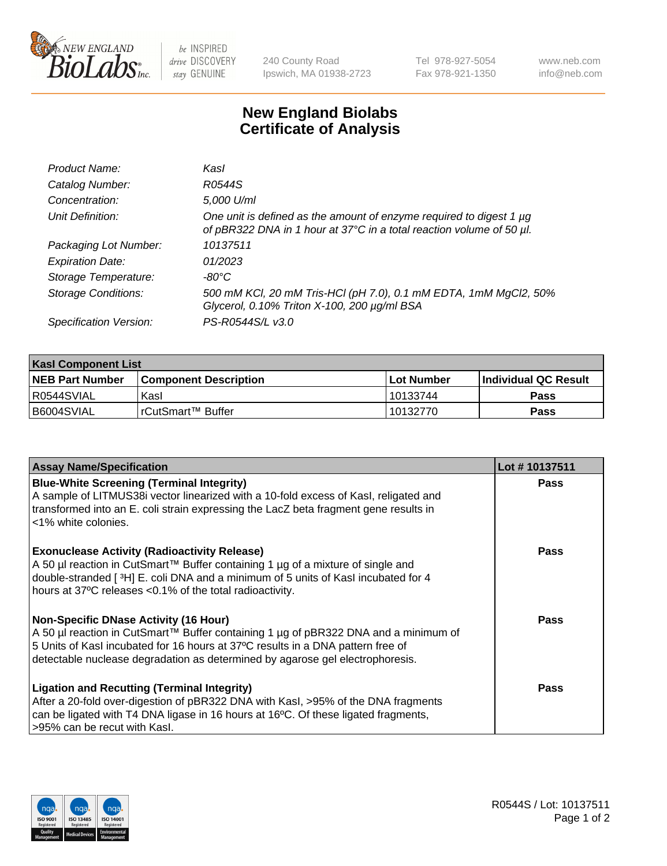

 $be$  INSPIRED drive DISCOVERY stay GENUINE

240 County Road Ipswich, MA 01938-2723 Tel 978-927-5054 Fax 978-921-1350 www.neb.com info@neb.com

## **New England Biolabs Certificate of Analysis**

| Product Name:              | Kasl                                                                                                                                        |
|----------------------------|---------------------------------------------------------------------------------------------------------------------------------------------|
| Catalog Number:            | R0544S                                                                                                                                      |
| Concentration:             | 5,000 U/ml                                                                                                                                  |
| Unit Definition:           | One unit is defined as the amount of enzyme required to digest 1 µg<br>of pBR322 DNA in 1 hour at 37°C in a total reaction volume of 50 µl. |
| Packaging Lot Number:      | 10137511                                                                                                                                    |
| <b>Expiration Date:</b>    | 01/2023                                                                                                                                     |
| Storage Temperature:       | $-80^{\circ}$ C                                                                                                                             |
| <b>Storage Conditions:</b> | 500 mM KCl, 20 mM Tris-HCl (pH 7.0), 0.1 mM EDTA, 1mM MgCl2, 50%<br>Glycerol, 0.10% Triton X-100, 200 µg/ml BSA                             |
| Specification Version:     | PS-R0544S/L v3.0                                                                                                                            |

| <b>Kasl Component List</b> |                         |             |                             |  |  |
|----------------------------|-------------------------|-------------|-----------------------------|--|--|
| <b>NEB Part Number</b>     | l Component Description | ⊺Lot Number | <b>Individual QC Result</b> |  |  |
| I R0544SVIAL               | Kasl                    | 10133744    | Pass                        |  |  |
| B6004SVIAL                 | l rCutSmart™ Buffer     | 10132770    | Pass                        |  |  |

| <b>Assay Name/Specification</b>                                                                                                                                                                                                                                                                         | Lot #10137511 |
|---------------------------------------------------------------------------------------------------------------------------------------------------------------------------------------------------------------------------------------------------------------------------------------------------------|---------------|
| <b>Blue-White Screening (Terminal Integrity)</b><br>A sample of LITMUS38i vector linearized with a 10-fold excess of Kasl, religated and<br>transformed into an E. coli strain expressing the LacZ beta fragment gene results in<br><1% white colonies.                                                 | <b>Pass</b>   |
| <b>Exonuclease Activity (Radioactivity Release)</b><br>A 50 µl reaction in CutSmart™ Buffer containing 1 µg of a mixture of single and<br>double-stranded [3H] E. coli DNA and a minimum of 5 units of Kasl incubated for 4<br>hours at 37°C releases <0.1% of the total radioactivity.                 | <b>Pass</b>   |
| <b>Non-Specific DNase Activity (16 Hour)</b><br>A 50 µl reaction in CutSmart™ Buffer containing 1 µg of pBR322 DNA and a minimum of<br>5 Units of Kasl incubated for 16 hours at 37°C results in a DNA pattern free of<br>detectable nuclease degradation as determined by agarose gel electrophoresis. | Pass          |
| <b>Ligation and Recutting (Terminal Integrity)</b><br>After a 20-fold over-digestion of pBR322 DNA with Kasl, >95% of the DNA fragments<br>can be ligated with T4 DNA ligase in 16 hours at 16°C. Of these ligated fragments,<br>-95% can be recut with Kasl.                                           | Pass          |